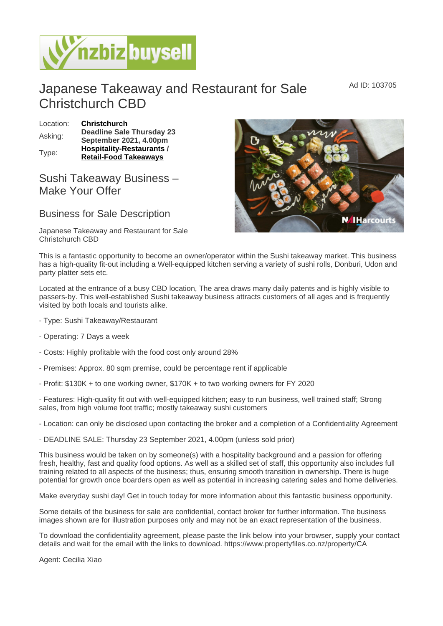## Japanese Takeaway and Restaurant for Sale Christchurch CBD

| Location: | Christchurch              |
|-----------|---------------------------|
| Asking:   | Deadline Sale Thursday 23 |
|           | September 2021, 4.00pm    |
| Type:     | Hospitality-Restaurants   |
|           | Retail-Food Takeaways     |

## Sushi Takeaway Business – Make Your Offer

## Business for Sale Description

Japanese Takeaway and Restaurant for Sale Christchurch CBD

This is a fantastic opportunity to become an owner/operator within the Sushi takeaway market. This business has a high-quality fit-out including a Well-equipped kitchen serving a variety of sushi rolls, Donburi, Udon and party platter sets etc.

Located at the entrance of a busy CBD location, The area draws many daily patents and is highly visible to passers-by. This well-established Sushi takeaway business attracts customers of all ages and is frequently visited by both locals and tourists alike.

- Type: Sushi Takeaway/Restaurant
- Operating: 7 Days a week
- Costs: Highly profitable with the food cost only around 28%
- Premises: Approx. 80 sqm premise, could be percentage rent if applicable
- Profit: \$130K + to one working owner, \$170K + to two working owners for FY 2020

- Features: High-quality fit out with well-equipped kitchen; easy to run business, well trained staff; Strong sales, from high volume foot traffic; mostly takeaway sushi customers

- Location: can only be disclosed upon contacting the broker and a completion of a Confidentiality Agreement

- DEADLINE SALE: Thursday 23 September 2021, 4.00pm (unless sold prior)

This business would be taken on by someone(s) with a hospitality background and a passion for offering fresh, healthy, fast and quality food options. As well as a skilled set of staff, this opportunity also includes full training related to all aspects of the business; thus, ensuring smooth transition in ownership. There is huge potential for growth once boarders open as well as potential in increasing catering sales and home deliveries.

Make everyday sushi day! Get in touch today for more information about this fantastic business opportunity.

Some details of the business for sale are confidential, contact broker for further information. The business images shown are for illustration purposes only and may not be an exact representation of the business.

To download the confidentiality agreement, please paste the link below into your browser, supply your contact details and wait for the email with the links to download. https://www.propertyfiles.co.nz/property/CA

Agent: Cecilia Xiao